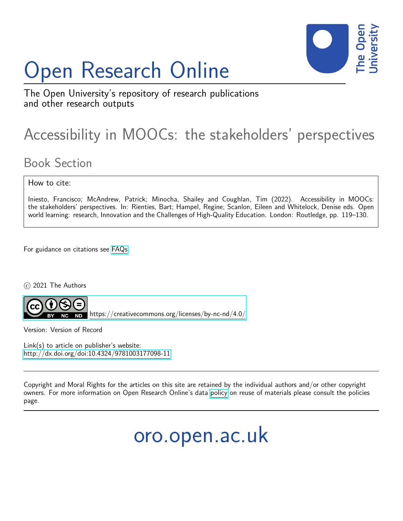# Open Research Online



The Open University's repository of research publications and other research outputs

# Accessibility in MOOCs: the stakeholders' perspectives

# Book Section

How to cite:

Iniesto, Francisco; McAndrew, Patrick; Minocha, Shailey and Coughlan, Tim (2022). Accessibility in MOOCs: the stakeholders' perspectives. In: Rienties, Bart; Hampel, Regine; Scanlon, Eileen and Whitelock, Denise eds. Open world learning: research, Innovation and the Challenges of High-Quality Education. London: Routledge, pp. 119–130.

For guidance on citations see [FAQs.](http://oro.open.ac.uk/help/helpfaq.html)

c 2021 The Authors



<https://creativecommons.org/licenses/by-nc-nd/4.0/>

Version: Version of Record

Link(s) to article on publisher's website: <http://dx.doi.org/doi:10.4324/9781003177098-11>

Copyright and Moral Rights for the articles on this site are retained by the individual authors and/or other copyright owners. For more information on Open Research Online's data [policy](http://oro.open.ac.uk/policies.html) on reuse of materials please consult the policies page.

oro.open.ac.uk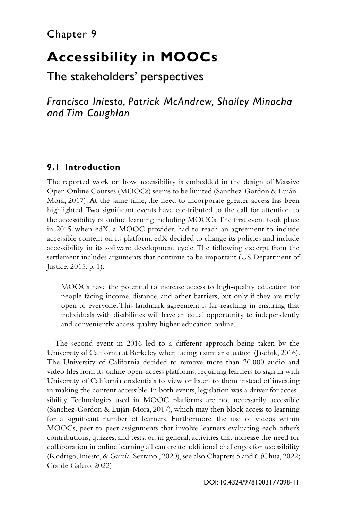## <span id="page-1-0"></span>**[Accessibility in MOOCs](#page--1-0)**

### [The stakeholders' perspectives](#page--1-0)

*Francisco Iniesto, Patrick McAndrew, Shailey Minocha and Tim Coughlan*

#### **9.1 Introduction**

The reported work on how accessibility is embedded in the design of Massive Open Online Courses (MOOCs) seems to be limited ([Sanchez-Gordon & Luján-](#page-12-0)[Mora, 2017\)](#page-12-0). At the same time, the need to incorporate greater access has been highlighted. Two significant events have contributed to the call for attention to the accessibility of online learning including MOOCs. The first event took place in 2015 when edX, a MOOC provider, had to reach an agreement to include accessible content on its platform. edX decided to change its policies and include accessibility in its software development cycle. The following excerpt from the settlement includes arguments that continue to be important [\(US Department of](#page-12-0)  [Justice, 2015](#page-12-0), p. 1):

MOOCs have the potential to increase access to high-quality education for people facing income, distance, and other barriers, but only if they are truly open to everyone. This landmark agreement is far-reaching in ensuring that individuals with disabilities will have an equal opportunity to independently and conveniently access quality higher education online.

The second event in 2016 led to a different approach being taken by the University of California at Berkeley when facing a similar situation ([Jaschik, 2016](#page-11-0)). The University of California decided to remove more than 20,000 audio and video files from its online open-access platforms, requiring learners to sign in with University of California credentials to view or listen to them instead of investing in making the content accessible. In both events, legislation was a driver for accessibility. Technologies used in MOOC platforms are not necessarily accessible [\(Sanchez-Gordon & Luján-Mora, 2017\)](#page-12-0), which may then block access to learning for a significant number of learners. Furthermore, the use of videos within MOOCs, peer-to-peer assignments that involve learners evaluating each other's contributions, quizzes, and tests, or, in general, activities that increase the need for collaboration in online learning all can create additional challenges for accessibility [\(Rodrigo, Iniesto, & García-Serrano., 2020](#page-12-0)), see also [Chapters 5](#page--1-0) and [6](#page--1-0) [\(Chua, 2022](#page-10-0); [Conde Gafaro, 2022\)](#page-10-0).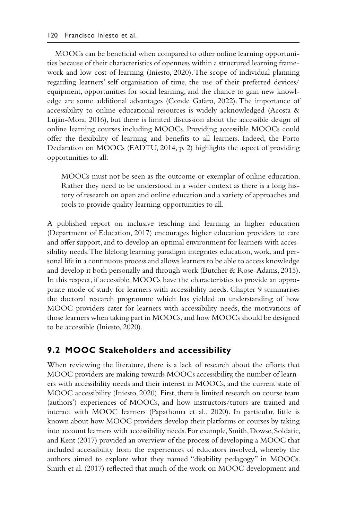<span id="page-2-0"></span>MOOCs can be beneficial when compared to other online learning opportunities because of their characteristics of openness within a structured learning framework and low cost of learning ([Iniesto, 2020](#page-11-0)). The scope of individual planning regarding learners' self-organisation of time, the use of their preferred devices/ equipment, opportunities for social learning, and the chance to gain new knowledge are some additional advantages ([Conde Gafaro, 2022](#page-10-0)). The importance of accessibility to online educational resources is widely acknowledged ([Acosta &](#page-9-0) [Luján-Mora, 2016\)](#page-9-0), but there is limited discussion about the accessible design of online learning courses including MOOCs. Providing accessible MOOCs could offer the flexibility of learning and benefits to all learners. Indeed, the Porto Declaration on MOOCs [\(EADTU, 2014,](#page-10-0) p. 2) highlights the aspect of providing opportunities to all:

MOOCs must not be seen as the outcome or exemplar of online education. Rather they need to be understood in a wider context as there is a long history of research on open and online education and a variety of approaches and tools to provide quality learning opportunities to all.

A published report on inclusive teaching and learning in higher education [\(Department of Education, 2017\)](#page-10-0) encourages higher education providers to care and offer support, and to develop an optimal environment for learners with accessibility needs. The lifelong learning paradigm integrates education, work, and personal life in a continuous process and allows learners to be able to access knowledge and develop it both personally and through work [\(Butcher & Rose-Adams, 2015\)](#page-10-0). In this respect, if accessible, MOOCs have the characteristics to provide an appropriate mode of study for learners with accessibility needs. Chapter 9 summarises the doctoral research programme which has yielded an understanding of how MOOC providers cater for learners with accessibility needs, the motivations of those learners when taking part in MOOCs, and how MOOCs should be designed to be accessible [\(Iniesto, 2020](#page-11-0)).

#### **9.2 MOOC Stakeholders and accessibility**

When reviewing the literature, there is a lack of research about the efforts that MOOC providers are making towards MOOCs accessibility, the number of learners with accessibility needs and their interest in MOOCs, and the current state of MOOC accessibility [\(Iniesto, 2020](#page-11-0)). First, there is limited research on course team (authors') experiences of MOOCs, and how instructors/tutors are trained and interact with MOOC learners [\(Papathoma et al., 2020\)](#page-11-0). In particular, little is known about how MOOC providers develop their platforms or courses by taking into account learners with accessibility needs. For example, [Smith, Dowse, Soldatic,](#page-12-0) [and Kent \(2017\)](#page-12-0) provided an overview of the process of developing a MOOC that included accessibility from the experiences of educators involved, whereby the authors aimed to explore what they named "disability pedagogy" in MOOCs. [Smith et al. \(2017\)](#page-12-0) reflected that much of the work on MOOC development and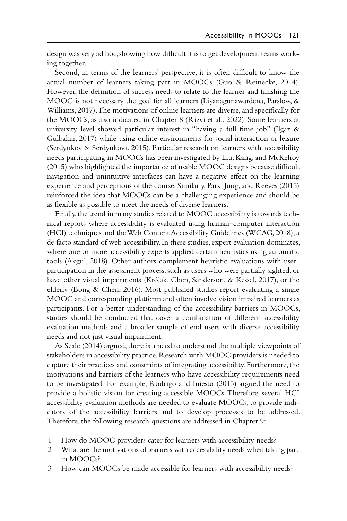<span id="page-3-0"></span>design was very ad hoc, showing how difficult it is to get development teams working together.

Second, in terms of the learners' perspective, it is often difficult to know the actual number of learners taking part in MOOCs ([Guo & Reinecke, 2014](#page-10-0)). However, the definition of success needs to relate to the learner and finishing the MOOC is not necessary the goal for all learners ([Liyanagunawardena, Parslow, &](#page-11-0)  [Williams, 2017\)](#page-11-0). The motivations of online learners are diverse, and specifically for the MOOCs, as also indicated in [Chapter 8](#page--1-0) ([Rizvi et al., 2022](#page-12-0)). Some learners at university level showed particular interest in "having a full-time job" ([Ilgaz &](#page-11-0)  [Gulbahar, 2017](#page-11-0)) while using online environments for social interaction or leisure [\(Serdyukov & Serdyukova, 2015\)](#page-12-0). Particular research on learners with accessibility needs participating in MOOCs has been investigated by [Liu, Kang, and McKelroy](#page-11-0)  [\(2015\)](#page-11-0) who highlighted the importance of usable MOOC designs because difficult navigation and unintuitive interfaces can have a negative effect on the learning experience and perceptions of the course. Similarly, [Park, Jung, and Reeves \(2015\)](#page-12-0) reinforced the idea that MOOCs can be a challenging experience and should be as flexible as possible to meet the needs of diverse learners.

Finally, the trend in many studies related to MOOC accessibility is towards technical reports where accessibility is evaluated using human–computer interaction (HCI) techniques and the Web Content Accessibility Guidelines ([WCAG, 2018\)](#page-12-0), a de facto standard of web accessibility. In these studies, expert evaluation dominates, where one or more accessibility experts applied certain heuristics using automatic tools [\(Akgul, 2018](#page-10-0)). Other authors complement heuristic evaluations with userparticipation in the assessment process, such as users who were partially sighted, or have other visual impairments [\(Królak, Chen, Sanderson, & Kessel, 2017\)](#page-11-0), or the elderly [\(Bong & Chen, 2016\)](#page-10-0). Most published studies report evaluating a single MOOC and corresponding platform and often involve vision impaired learners as participants. For a better understanding of the accessibility barriers in MOOCs, studies should be conducted that cover a combination of different accessibility evaluation methods and a broader sample of end-users with diverse accessibility needs and not just visual impairment.

As [Seale \(2014\)](#page-12-0) argued, there is a need to understand the multiple viewpoints of stakeholders in accessibility practice. Research with MOOC providers is needed to capture their practices and constraints of integrating accessibility. Furthermore, the motivations and barriers of the learners who have accessibility requirements need to be investigated. For example, [Rodrigo and Iniesto \(2015\)](#page-12-0) argued the need to provide a holistic vision for creating accessible MOOCs. Therefore, several HCI accessibility evaluation methods are needed to evaluate MOOCs, to provide indicators of the accessibility barriers and to develop processes to be addressed. Therefore, the following research questions are addressed in Chapter 9:

- 1 How do MOOC providers cater for learners with accessibility needs?
- 2 What are the motivations of learners with accessibility needs when taking part in MOOCs?
- 3 How can MOOCs be made accessible for learners with accessibility needs?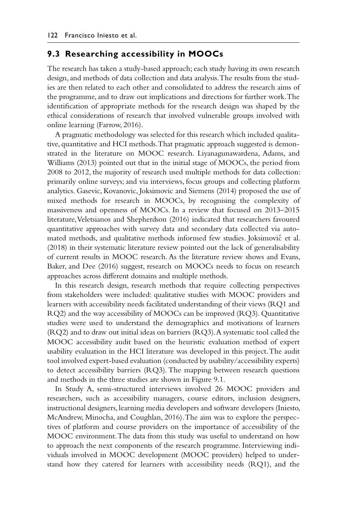#### <span id="page-4-0"></span>**9.3 Researching accessibility in MOOCs**

The research has taken a study-based approach; each study having its own research design, and methods of data collection and data analysis. The results from the studies are then related to each other and consolidated to address the research aims of the programme, and to draw out implications and directions for further work. The identification of appropriate methods for the research design was shaped by the ethical considerations of research that involved vulnerable groups involved with online learning ([Farrow, 2016](#page-10-0)).

A pragmatic methodology was selected for this research which included qualitative, quantitative and HCI methods. That pragmatic approach suggested is demonstrated in the literature on MOOC research. [Liyanagunawardena, Adams, and](#page-11-0) [Williams \(2013\)](#page-11-0) pointed out that in the initial stage of MOOCs, the period from 2008 to 2012, the majority of research used multiple methods for data collection: primarily online surveys; and via interviews, focus groups and collecting platform analytics. [Gasevic, Kovanovic, Joksimovic and Siemens \(2014\)](#page-10-0) proposed the use of mixed methods for research in MOOCs, by recognising the complexity of massiveness and openness of MOOCs. In a review that focused on 2013–2015 literature, [Veletsianos and Shepherdson \(2016\)](#page-12-0) indicated that researchers favoured quantitative approaches with survey data and secondary data collected via auto-mated methods, and qualitative methods informed few studies. [Joksimovic et al.](#page-11-0) [\(2018\)](#page-11-0) in their systematic literature review pointed out the lack of generalisability of current results in MOOC research. As the literature review shows and [Evans,](#page-10-0) [Baker, and Dee \(2016\)](#page-10-0) suggest, research on MOOCs needs to focus on research approaches across different domains and multiple methods.

In this research design, research methods that require collecting perspectives from stakeholders were included: qualitative studies with MOOC providers and learners with accessibility needs facilitated understanding of their views (RQ1 and RQ2) and the way accessibility of MOOCs can be improved (RQ3). Quantitative studies were used to understand the demographics and motivations of learners (RQ2) and to draw out initial ideas on barriers (RQ3). A systematic tool called the MOOC accessibility audit based on the heuristic evaluation method of expert usability evaluation in the HCI literature was developed in this project. The audit tool involved expert-based evaluation (conducted by usability/accessibility experts) to detect accessibility barriers (RQ3). The mapping between research questions and methods in the three studies are shown in [Figure 9.1.](#page-5-0)

In Study A, semi-structured interviews involved 26 MOOC providers and researchers, such as accessibility managers, course editors, inclusion designers, instructional designers, learning media developers and software developers [\(Iniesto,](#page-11-0) [McAndrew, Minocha, and Coughlan, 2016](#page-11-0)). The aim was to explore the perspectives of platform and course providers on the importance of accessibility of the MOOC environment. The data from this study was useful to understand on how to approach the next components of the research programme. Interviewing individuals involved in MOOC development (MOOC providers) helped to understand how they catered for learners with accessibility needs (RQ1), and the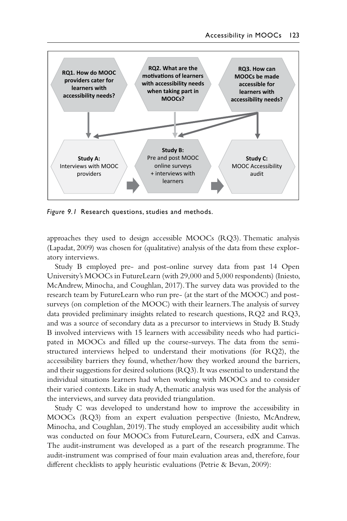<span id="page-5-0"></span>

*Figure 9.1* Research questions, studies and methods.

approaches they used to design accessible MOOCs (RQ3). Thematic analysis [\(Lapadat, 2009](#page-11-0)) was chosen for (qualitative) analysis of the data from these exploratory interviews.

Study B employed pre- and post-online survey data from past 14 Open University's MOOCs in FutureLearn (with 29,000 and 5,000 respondents) [\(Iniesto,](#page-11-0)  [McAndrew, Minocha, and Coughlan, 2017\)](#page-11-0). The survey data was provided to the research team by FutureLearn who run pre- (at the start of the MOOC) and postsurveys (on completion of the MOOC) with their learners. The analysis of survey data provided preliminary insights related to research questions, RQ2 and RQ3, and was a source of secondary data as a precursor to interviews in Study B. Study B involved interviews with 15 learners with accessibility needs who had participated in MOOCs and filled up the course-surveys. The data from the semistructured interviews helped to understand their motivations (for RQ2), the accessibility barriers they found, whether/how they worked around the barriers, and their suggestions for desired solutions (RQ3). It was essential to understand the individual situations learners had when working with MOOCs and to consider their varied contexts. Like in study A, thematic analysis was used for the analysis of the interviews, and survey data provided triangulation.

Study C was developed to understand how to improve the accessibility in MOOCs (RQ3) from an expert evaluation perspective ([Iniesto, McAndrew,](#page-11-0)  [Minocha, and Coughlan, 2019](#page-11-0)). The study employed an accessibility audit which was conducted on four MOOCs from FutureLearn, Coursera, edX and Canvas. The audit-instrument was developed as a part of the research programme. The audit-instrument was comprised of four main evaluation areas and, therefore, four different checklists to apply heuristic evaluations [\(Petrie & Bevan, 2009](#page-12-0)):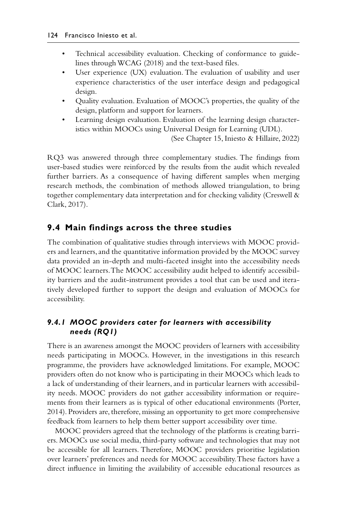- <span id="page-6-0"></span>• Technical accessibility evaluation. Checking of conformance to guidelines through [WCAG \(2018\)](#page-12-0) and the text-based files.
- User experience (UX) evaluation. The evaluation of usability and user experience characteristics of the user interface design and pedagogical design.
- Quality evaluation. Evaluation of MOOC's properties, the quality of the design, platform and support for learners.
- Learning design evaluation. Evaluation of the learning design characteristics within MOOCs using Universal Design for Learning (UDL).

(See [Chapter 15](#page--1-0), [Iniesto & Hillaire, 2022](#page-11-0))

RQ3 was answered through three complementary studies. The findings from user-based studies were reinforced by the results from the audit which revealed further barriers. As a consequence of having different samples when merging research methods, the combination of methods allowed triangulation, to bring together complementary data interpretation and for checking validity ([Creswell &](#page-10-0) [Clark, 2017\)](#page-10-0).

#### **9.4 Main findings across the three studies**

The combination of qualitative studies through interviews with MOOC providers and learners, and the quantitative information provided by the MOOC survey data provided an in-depth and multi-faceted insight into the accessibility needs of MOOC learners. The MOOC accessibility audit helped to identify accessibility barriers and the audit-instrument provides a tool that can be used and iteratively developed further to support the design and evaluation of MOOCs for accessibility.

#### *9.4.1 MOOC providers cater for learners with accessibility needs (RQ1)*

There is an awareness amongst the MOOC providers of learners with accessibility needs participating in MOOCs. However, in the investigations in this research programme, the providers have acknowledged limitations. For example, MOOC providers often do not know who is participating in their MOOCs which leads to a lack of understanding of their learners, and in particular learners with accessibility needs. MOOC providers do not gather accessibility information or requirements from their learners as is typical of other educational environments [\(Porter,](#page-12-0) [2014\)](#page-12-0). Providers are, therefore, missing an opportunity to get more comprehensive feedback from learners to help them better support accessibility over time.

MOOC providers agreed that the technology of the platforms is creating barriers. MOOCs use social media, third-party software and technologies that may not be accessible for all learners. Therefore, MOOC providers prioritise legislation over learners' preferences and needs for MOOC accessibility. These factors have a direct influence in limiting the availability of accessible educational resources as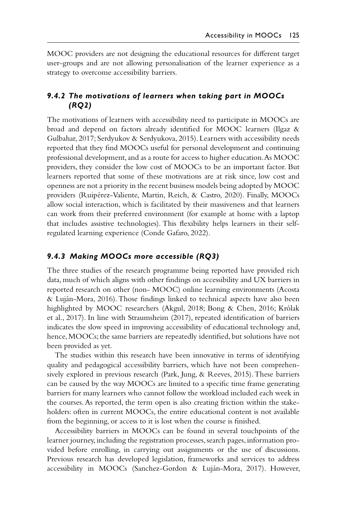<span id="page-7-0"></span>MOOC providers are not designing the educational resources for different target user-groups and are not allowing personalisation of the learner experience as a strategy to overcome accessibility barriers.

#### *9.4.2 The motivations of learners when taking part in MOOCs (RQ2)*

The motivations of learners with accessibility need to participate in MOOCs are broad and depend on factors already identified for MOOC learners ([Ilgaz &](#page-11-0)  [Gulbahar, 2017;](#page-11-0) [Serdyukov & Serdyukova, 2015](#page-12-0)). Learners with accessibility needs reported that they find MOOCs useful for personal development and continuing professional development, and as a route for access to higher education. As MOOC providers, they consider the low cost of MOOCs to be an important factor. But learners reported that some of these motivations are at risk since, low cost and openness are not a priority in the recent business models being adopted by MOOC providers [\(Ruipérez-Valiente, Martin, Reich, & Castro, 2020](#page-12-0)). Finally, MOOCs allow social interaction, which is facilitated by their massiveness and that learners can work from their preferred environment (for example at home with a laptop that includes assistive technologies). This flexibility helps learners in their selfregulated learning experience ([Conde Gafaro, 2022\)](#page-10-0).

#### *9.4.3 Making MOOCs more accessible (RQ3)*

The three studies of the research programme being reported have provided rich data, much of which aligns with other findings on accessibility and UX barriers in reported research on other (non- MOOC) online learning environments ([Acosta](#page-9-0)  [& Luján-Mora, 2016\)](#page-9-0). Those findings linked to technical aspects have also been highlighted by MOOC researchers ([Akgul, 2018](#page-10-0); [Bong & Chen, 2016;](#page-10-0) [Królak](#page-11-0)  [et al., 2017](#page-11-0)). In line with [Straumsheim \(2017\),](#page-12-0) repeated identification of barriers indicates the slow speed in improving accessibility of educational technology and, hence, MOOCs; the same barriers are repeatedly identified, but solutions have not been provided as yet.

The studies within this research have been innovative in terms of identifying quality and pedagogical accessibility barriers, which have not been comprehensively explored in previous research ([Park, Jung, & Reeves, 2015\)](#page-12-0). These barriers can be caused by the way MOOCs are limited to a specific time frame generating barriers for many learners who cannot follow the workload included each week in the courses. As reported, the term open is also creating friction within the stakeholders: often in current MOOCs, the entire educational content is not available from the beginning, or access to it is lost when the course is finished.

Accessibility barriers in MOOCs can be found in several touchpoints of the learner journey, including the registration processes, search pages, information provided before enrolling, in carrying out assignments or the use of discussions. Previous research has developed legislation, frameworks and services to address accessibility in MOOCs [\(Sanchez-Gordon & Luján-Mora, 2017\)](#page-12-0). However,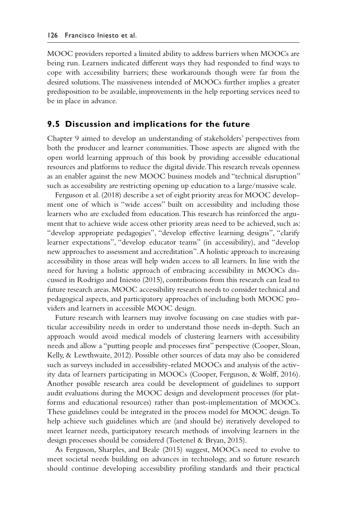<span id="page-8-0"></span>MOOC providers reported a limited ability to address barriers when MOOCs are being run. Learners indicated different ways they had responded to find ways to cope with accessibility barriers; these workarounds though were far from the desired solutions. The massiveness intended of MOOCs further implies a greater predisposition to be available, improvements in the help reporting services need to be in place in advance.

#### **9.5 Discussion and implications for the future**

Chapter 9 aimed to develop an understanding of stakeholders' perspectives from both the producer and learner communities. Those aspects are aligned with the open world learning approach of this book by providing accessible educational resources and platforms to reduce the digital divide. This research reveals openness as an enabler against the new MOOC business models and "technical disruption" such as accessibility are restricting opening up education to a large/massive scale.

[Ferguson et al. \(2018\)](#page-10-0) describe a set of eight priority areas for MOOC development one of which is "wide access" built on accessibility and including those learners who are excluded from education. This research has reinforced the argument that to achieve wide access other priority areas need to be achieved, such as: "develop appropriate pedagogies", "develop effective learning designs", "clarify learner expectations", "develop educator teams" (in accessibility), and "develop new approaches to assessment and accreditation". A holistic approach to increasing accessibility in those areas will help widen access to all learners. In line with the need for having a holistic approach of embracing accessibility in MOOCs discussed in [Rodrigo and Iniesto \(2015\)](#page-12-0), contributions from this research can lead to future research areas. MOOC accessibility research needs to consider technical and pedagogical aspects, and participatory approaches of including both MOOC providers and learners in accessible MOOC design.

Future research with learners may involve focussing on case studies with particular accessibility needs in order to understand those needs in-depth. Such an approach would avoid medical models of clustering learners with accessibility needs and allow a "putting people and processes first" perspective [\(Cooper, Sloan,](#page-10-0) [Kelly, & Lewthwaite, 2012\)](#page-10-0). Possible other sources of data may also be considered such as surveys included in accessibility-related MOOCs and analysis of the activity data of learners participating in MOOCs [\(Cooper, Ferguson, & Wolff, 2016\)](#page-10-0). Another possible research area could be development of guidelines to support audit evaluations during the MOOC design and development processes (for platforms and educational resources) rather than post-implementation of MOOCs. These guidelines could be integrated in the process model for MOOC design. To help achieve such guidelines which are (and should be) iteratively developed to meet learner needs, participatory research methods of involving learners in the design processes should be considered [\(Toetenel & Bryan, 2015\)](#page-12-0).

As [Ferguson, Sharples, and Beale \(2015\)](#page-10-0) suggest, MOOCs need to evolve to meet societal needs building on advances in technology, and so future research should continue developing accessibility profiling standards and their practical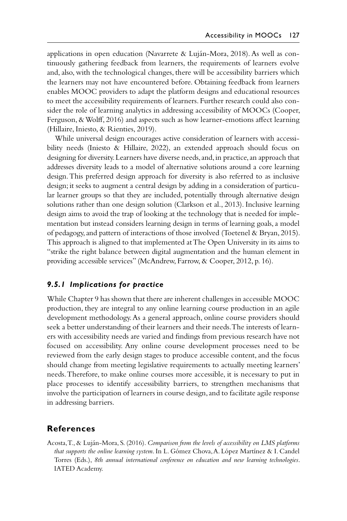<span id="page-9-0"></span>applications in open education ([Navarrete & Luján-Mora, 2018\)](#page-11-0). As well as continuously gathering feedback from learners, the requirements of learners evolve and, also, with the technological changes, there will be accessibility barriers which the learners may not have encountered before. Obtaining feedback from learners enables MOOC providers to adapt the platform designs and educational resources to meet the accessibility requirements of learners. Further research could also consider the role of learning analytics in addressing accessibility of MOOCs [\(Cooper,](#page-10-0)  [Ferguson, & Wolff, 2016\)](#page-10-0) and aspects such as how learner-emotions affect learning [\(Hillaire, Iniesto, & Rienties, 2019](#page-11-0)).

While universal design encourages active consideration of learners with accessibility needs [\(Iniesto & Hillaire, 2022](#page-11-0)), an extended approach should focus on designing for diversity. Learners have diverse needs, and, in practice, an approach that addresses diversity leads to a model of alternative solutions around a core learning design. This preferred design approach for diversity is also referred to as inclusive design; it seeks to augment a central design by adding in a consideration of particular learner groups so that they are included, potentially through alternative design solutions rather than one design solution [\(Clarkson et al., 2013\)](#page-10-0). Inclusive learning design aims to avoid the trap of looking at the technology that is needed for implementation but instead considers learning design in terms of learning goals, a model of pedagogy, and pattern of interactions of those involved [\(Toetenel & Bryan, 2015](#page-12-0)). This approach is aligned to that implemented at The Open University in its aims to "strike the right balance between digital augmentation and the human element in providing accessible services" [\(McAndrew, Farrow, & Cooper, 2012,](#page-11-0) p. 16).

#### *9.5.1 Implications for practice*

While Chapter 9 has shown that there are inherent challenges in accessible MOOC production, they are integral to any online learning course production in an agile development methodology. As a general approach, online course providers should seek a better understanding of their learners and their needs. The interests of learners with accessibility needs are varied and findings from previous research have not focused on accessibility. Any online course development processes need to be reviewed from the early design stages to produce accessible content, and the focus should change from meeting legislative requirements to actually meeting learners' needs. Therefore, to make online courses more accessible, it is necessary to put in place processes to identify accessibility barriers, to strengthen mechanisms that involve the participation of learners in course design, and to facilitate agile response in addressing barriers.

#### **References**

Acosta, T., & Luján-Mora, S. (2016). *[Comparison from the levels of accessibility on LMS platforms](#page-2-0) that supports the online learning system*[. In L. Gómez Chova, A. López Martínez & I. Candel](#page-2-0)  Torres (Eds.), *[8th annual international conference on education and new learning technologies](#page-2-0)*. [IATED Academy.](#page-2-0)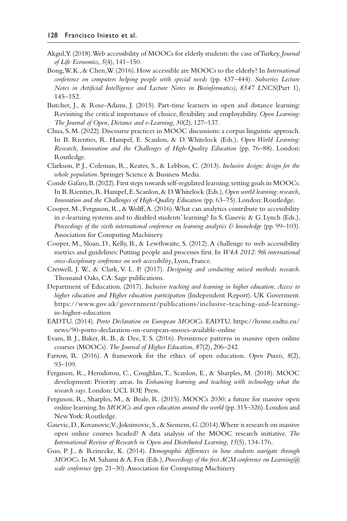- <span id="page-10-0"></span>[Akgul, Y. \(2018\). Web accessibility of MOOCs for elderly students: the case of Turkey.](#page-3-0) *Journal [of Life Economics](#page-3-0)*, *5*(4), 141–150.
- [Bong, W. K., & Chen, W. \(2016\). How accessible are MOOCs to the elderly? In](#page-3-0) *International [conference on computers helping people with special needs](#page-3-0)* (pp. 437–444). *Subseries Lecture [Notes in Artificial Intelligence and Lecture Notes in Bioinformatics\)](#page-3-0)*, *8547 LNCS*(Part 1), [145–152.](#page-3-0)
- [Butcher, J., & Rose-Adams, J. \(2015\). Part-time learners in open and distance learning:](#page-2-0) [Revisiting the critical importance of choice, flexibility and employability.](#page-2-0) *Open Learning: [The Journal of Open, Distance and e-Learning](#page-2-0)*, *30*(2), 127–137.
- [Chua, S. M. \(2022\). Discourse practices in MOOC discussions: a corpus linguistic approach.](#page-1-0) [In B. Rienties, R. Hampel, E. Scanlon, & D. Whitelock \(Eds.\),](#page-1-0) *Open World Learning: [Research, Innovation and the Challenges of High-Quality Education](#page-1-0)* (pp. 76–88). London: [Routledge.](#page-1-0)
- [Clarkson, P. J., Coleman, R., Keates, S., & Lebbon, C. \(2013\).](#page-9-0) *Inclusive design: design for the whole population*[. Springer Science & Business Media.](#page-9-0)
- [Conde Gafaro, B. \(2022\). First steps towards self-regulated learning: setting goals in MOOCs.](#page-1-0) [In B. Rienties, R. Hampel, E. Scanlon, & D. Whitelock \(Eds.\),](#page-1-0) *Open world learning: research, [Innovation and the Challenges of High-Quality Education](#page-1-0)* (pp. 63–75). London: Routledge.
- [Cooper, M., Ferguson, R., & Wolff, A. \(2016\). What can analytics contribute to accessibility](#page-8-0) [in e-learning systems and to disabled students' learning? In S. Gasevic & G. Lynch \(Eds.\),](#page-8-0) *[Proceedings of the sixth international conference on learning analytics & knowledge](#page-8-0)* (pp. 99–103). [Association for Computing Machinery.](#page-8-0)
- [Cooper, M., Sloan, D., Kelly, B., & Lewthwaite, S. \(2012\). A challenge to web accessibility](#page-8-0) [metrics and guidelines: Putting people and processes first. In](#page-8-0) *W4A 2012: 9th international [cross-disciplinary conference on web accessibility](#page-8-0)*, Lyon, France.
- Creswell, J. W., & Clark, V. L. P. (2017). *[Designing and conducting mixed methods research](#page-6-0)*. [Thousand Oaks, CA: Sage publications.](#page-6-0)
- [Department of Education.](#page-2-0) (2017). *Inclusive teaching and learning in higher education*. *Access to higher education and Higher education participation* (Independent Report). UK Goverment. [https://www.gov.uk/government/publications/inclusive-teaching-and-learning](https://www.gov.uk)[in-higher-education](https://www.gov.uk)
- [EADTU](#page-2-0). (2014). *Porto Declaration on European MOOCs*. EADTU. [https://home.eadtu.eu/](https://home.eadtu.eu) [news/90-porto-declaration-on-european-moocs-available-online](https://home.eadtu.eu)
- [Evans, B. J., Baker, R. B., & Dee, T. S. \(2016\). Persistence patterns in massive open online](#page-4-0) courses (MOOCs). *[The Journal of Higher Education](#page-4-0)*, *87*(2), 206–242.
- [Farrow, R. \(2016\). A framework for the ethics of open education.](#page-4-0) *Open Praxis*, *8*(2), [93–109.](#page-4-0)
- [Ferguson, R., Herodotou, C., Coughlan, T., Scanlon, E., & Sharples, M. \(2018\). MOOC](#page-8-0) development: Priority areas. In *[Enhancing learning and teaching with technology what the](#page-8-0) research says*[. London: UCL IOE Press.](#page-8-0)
- [Ferguson, R., Sharples, M., & Beale, R. \(2015\). MOOCs 2030: a future for massive open](#page-8-0) online learning. In *[MOOCs and open education around the world](#page-8-0)* (pp. 315–326). London and [New York: Routledge.](#page-8-0)
- [Gasevic, D., Kovanovic, V., Joksimovic, S., & Siemens, G. \(2014\). Where is research on massive](#page-4-0) [open online courses headed? A data analysis of the MOOC research initiative.](#page-4-0) *The [International Review of Research in Open and Distributed Learning](#page-4-0)*, *15*(5), 134-176.
- Guo, P. J., & Reinecke, K. (2014). *[Demographic differences in how students navigate through](#page-3-0) MOOCs*. In M. Sahami & A. Fox (Eds.), *[Proceedings of the first ACM conference on Learning@](#page-3-0) scale conference* [\(pp. 21–30\). Association for Computing Machinery](#page-3-0)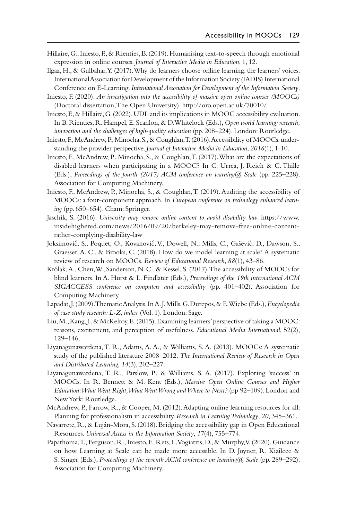- <span id="page-11-0"></span>[Hillaire, G., Iniesto, F., & Rienties, B. \(2019\). Humanising text-to-speech through emotional](#page-9-0)  expression in online courses. *[Journal of Interactive Media in Education](#page-9-0)*, 1, 12.
- [Ilgaz, H., & Gulbahar, Y. \(2017\). Why do learners choose online learning: the learners' voices.](#page-3-0) [International Association for Development of the Information Society \(IADIS\) International](#page-3-0) Conference on E-Learning. *[International Association for Development of the Information Society](#page-3-0)*.
- [Iniesto, F.](#page-2-0) (2020). *An investigation into the accessibility of massive open online courses (MOOCs)* (Doctoral dissertation, The Open University). [http://oro.open.ac.uk/70010/](http://oro.open.ac.uk)
- [Iniesto, F., & Hillaire, G. \(2022\). UDL and its implications in MOOC accessibility evaluation.](#page-6-0) [In B. Rienties, R. Hampel, E. Scanlon, & D. Whitelock \(Eds.\),](#page-6-0) *Open world learning: research, [innovation and the challenges of high-quality education](#page-6-0)* (pp. 208–224). London: Routledge.
- [Iniesto, F., McAndrew, P., Minocha, S., & Coughlan, T. \(2016\). Accessibility of MOOCs: under](#page-4-0)standing the provider perspective. *[Journal of Interactive Media in Education](#page-4-0)*, *2016*(1), 1-10.
- [Iniesto, F., McAndrew, P., Minocha, S., & Coughlan, T. \(2017\). What are the expectations of](#page-5-0) [disabled learners when participating in a MOOC? In C. Urrea, J. Reich & C. Thille](#page-5-0)  (Eds.), *[Proceedings of the fourth \(2017\) ACM conference on learning@ Scale](#page-5-0)* (pp. 225–228). [Association for Computing Machinery.](#page-5-0)
- [Iniesto, F., McAndrew, P., Minocha, S., & Coughlan, T. \(2019\). Auditing the accessibility of](#page-5-0) MOOCs: a four-component approach. In *[European conference on technology enhanced learn](#page-5-0)ing* [\(pp. 650–654\). Cham: Springer.](#page-5-0)
- [Jaschik, S.](#page-1-0) (2016). *University may remove online content to avoid disability law*. [https://www.](https://www.insidehighered.com) [insidehighered.com/news/2016/09/20/berkeley-may-remove-free-online-content](https://www.insidehighered.com)[rather-complying-disability-law](https://www.insidehighered.com)
- Joksimović, S., Poquet, O., Kovanović[, V., Dowell, N., Mills, C., Gaševic](#page-4-0)́, D., Dawson, S., [Graesser, A. C., & Brooks, C. \(2018\). How do we model learning at scale? A systematic](#page-4-0)  [review of research on MOOCs.](#page-4-0) *Review of Educational Research*, *88*(1), 43–86.
- [Królak, A., Chen, W., Sanderson, N. C., & Kessel, S. \(2017\). The accessibility of MOOCs for](#page-3-0)  [blind learners. In A. Hurst & L. Findlater \(Eds.\),](#page-3-0) *Proceedings of the 19th international ACM [SIGACCESS conference on computers and accessibility](#page-3-0)* (pp. 401–402). Association for [Computing Machinery.](#page-3-0)
- [Lapadat, J. \(2009\). Thematic Analysis. In A. J. Mills, G. Durepos, & E. Wiebe \(Eds.\),](#page-5-0) *Encyclopedia [of case study research: L-Z; index](#page-5-0)* (Vol. 1). London: Sage.
- [Liu, M., Kang, J., & McKelroy, E. \(2015\). Examining learners' perspective of taking a MOOC:](#page-3-0)  [reasons, excitement, and perception of usefulness.](#page-3-0) *Educational Media International*, 52(2), [129–146.](#page-3-0)
- [Liyanagunawardena, T. R., Adams, A. A., & Williams, S. A. \(2013\). MOOCs: A systematic](#page-4-0) [study of the published literature 2008–2012.](#page-4-0) *The International Review of Research in Open [and Distributed Learning](#page-4-0)*, *14*(3), 202–227.
- [Liyanagunawardena, T. R., Parslow, P., & Williams, S. A. \(2017\). Exploring 'success' in](#page-3-0) [MOOCs. In R. Bennett & M. Kent \(Eds.\),](#page-3-0) *Massive Open Online Courses and Higher [Education: What Went Right, What Went Wrong and Where to Next?](#page-3-0)* (pp 92–109). London and [New York: Routledge.](#page-3-0)
- [McAndrew, P., Farrow, R., & Cooper, M. \(2012\). Adapting online learning resources for all:](#page-9-0) [Planning for professionalism in accessibility.](#page-9-0) *Research in Learning Technology*, *20*, 345–361.
- [Navarrete, R., & Luján-Mora, S. \(2018\). Bridging the accessibility gap in Open Educational](#page-9-0) Resources. *[Universal Access in the Information Society](#page-9-0)*, *17*(4), 755–774.
- [Papathoma, T., Ferguson, R., Iniesto, F., Rets, I., Vogiatzis, D., & Murphy, V. \(2020\). Guidance](#page-2-0) [on how Learning at Scale can be made more accessible. In D. Joyner, R. Kizilcec &](#page-2-0)  S. Singer (Eds.), *[Proceedings of the seventh ACM conference on learning@ Scale](#page-2-0)* (pp. 289–292). [Association for Computing Machinery.](#page-2-0)